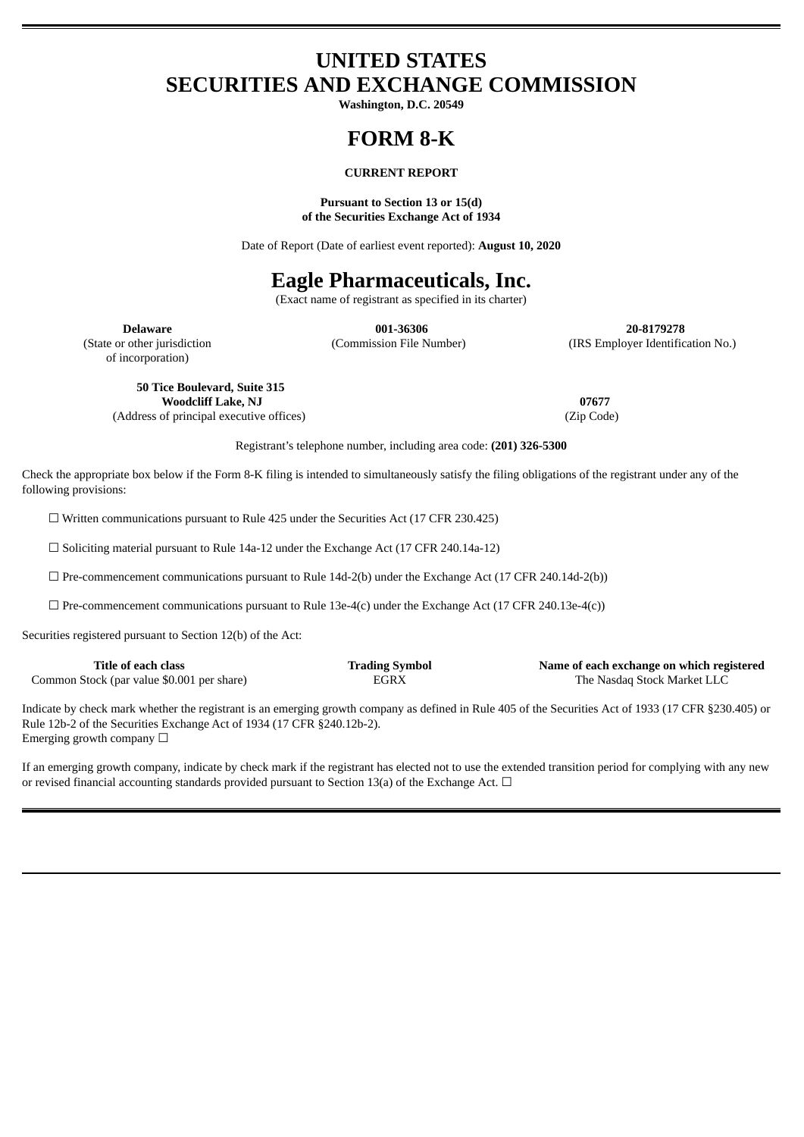# **UNITED STATES SECURITIES AND EXCHANGE COMMISSION**

**Washington, D.C. 20549**

# **FORM 8-K**

# **CURRENT REPORT**

#### **Pursuant to Section 13 or 15(d) of the Securities Exchange Act of 1934**

Date of Report (Date of earliest event reported): **August 10, 2020**

# **Eagle Pharmaceuticals, Inc.**

(Exact name of registrant as specified in its charter)

of incorporation)

**Delaware 001-36306 20-8179278** (State or other jurisdiction (Commission File Number) (IRS Employer Identification No.)

**50 Tice Boulevard, Suite 315 Woodcliff Lake, NJ 07677** (Address of principal executive offices) (Zip Code)

Registrant's telephone number, including area code: **(201) 326-5300**

Check the appropriate box below if the Form 8-K filing is intended to simultaneously satisfy the filing obligations of the registrant under any of the following provisions:

☐ Written communications pursuant to Rule 425 under the Securities Act (17 CFR 230.425)

☐ Soliciting material pursuant to Rule 14a-12 under the Exchange Act (17 CFR 240.14a-12)

 $\square$  Pre-commencement communications pursuant to Rule 14d-2(b) under the Exchange Act (17 CFR 240.14d-2(b))

 $\Box$  Pre-commencement communications pursuant to Rule 13e-4(c) under the Exchange Act (17 CFR 240.13e-4(c))

Securities registered pursuant to Section 12(b) of the Act:

| Title of each class                        | <b>Trading Symbol</b> | Name of each exchange on which registered |
|--------------------------------------------|-----------------------|-------------------------------------------|
| Common Stock (par value \$0.001 per share) | EGRX                  | The Nasdag Stock Market LLC               |

Indicate by check mark whether the registrant is an emerging growth company as defined in Rule 405 of the Securities Act of 1933 (17 CFR §230.405) or Rule 12b-2 of the Securities Exchange Act of 1934 (17 CFR §240.12b-2). Emerging growth company  $\Box$ 

If an emerging growth company, indicate by check mark if the registrant has elected not to use the extended transition period for complying with any new or revised financial accounting standards provided pursuant to Section 13(a) of the Exchange Act.  $\Box$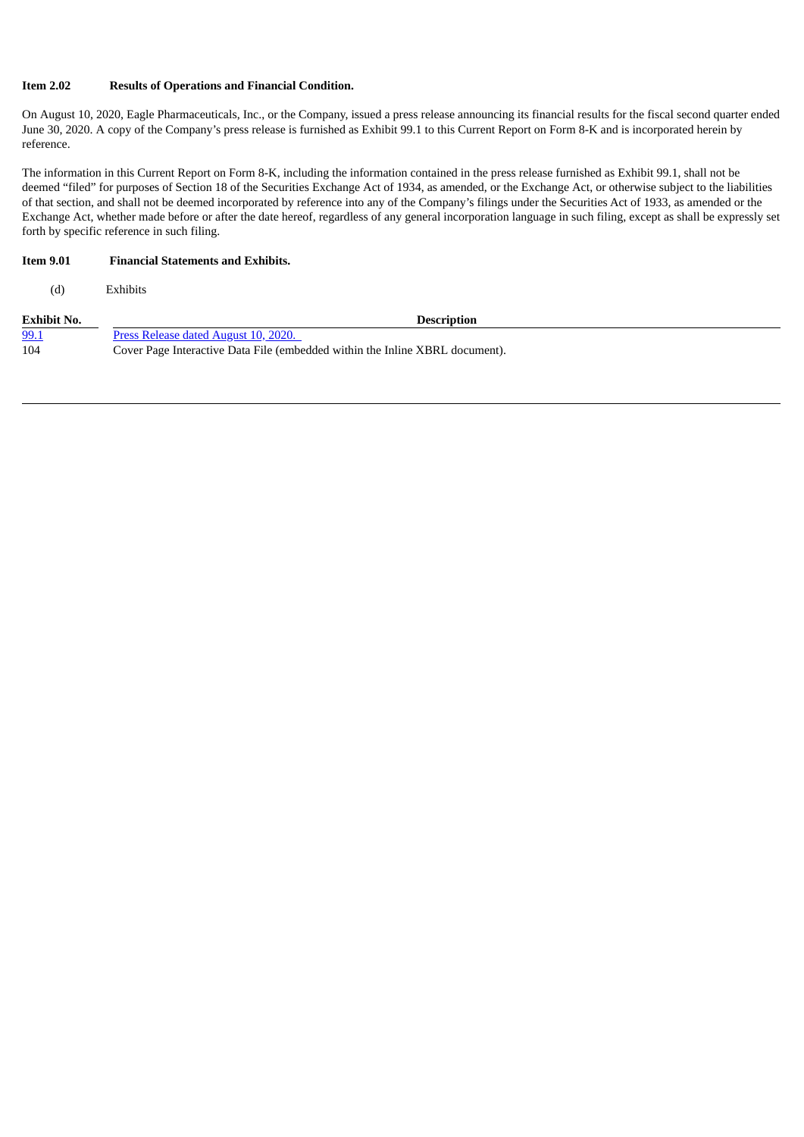## **Item 2.02 Results of Operations and Financial Condition.**

On August 10, 2020, Eagle Pharmaceuticals, Inc., or the Company, issued a press release announcing its financial results for the fiscal second quarter ended June 30, 2020. A copy of the Company's press release is furnished as Exhibit 99.1 to this Current Report on Form 8-K and is incorporated herein by reference.

The information in this Current Report on Form 8-K, including the information contained in the press release furnished as Exhibit 99.1, shall not be deemed "filed" for purposes of Section 18 of the Securities Exchange Act of 1934, as amended, or the Exchange Act, or otherwise subject to the liabilities of that section, and shall not be deemed incorporated by reference into any of the Company's filings under the Securities Act of 1933, as amended or the Exchange Act, whether made before or after the date hereof, regardless of any general incorporation language in such filing, except as shall be expressly set forth by specific reference in such filing.

#### **Item 9.01 Financial Statements and Exhibits.**

(d) Exhibits

| Exhibit No. | <b>Description</b>                                                           |
|-------------|------------------------------------------------------------------------------|
| <u>99.1</u> | Press Release dated August 10, 2020.                                         |
| 104         | Cover Page Interactive Data File (embedded within the Inline XBRL document). |
|             |                                                                              |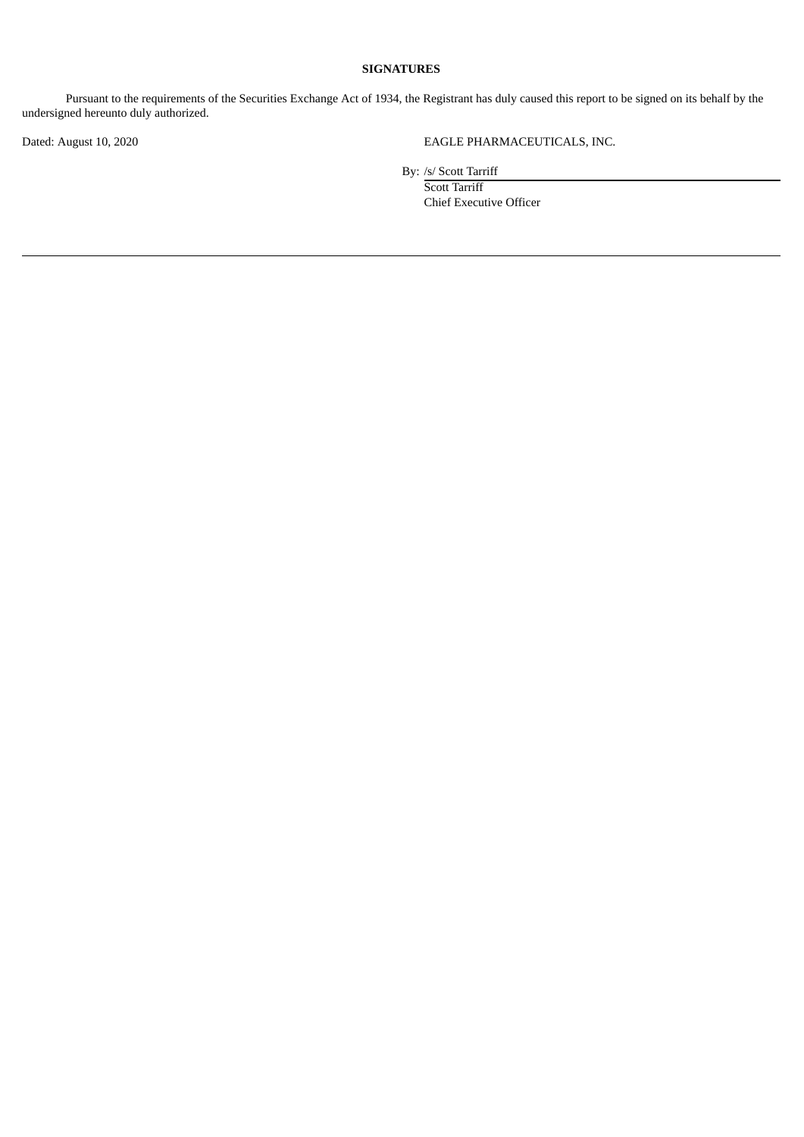## **SIGNATURES**

Pursuant to the requirements of the Securities Exchange Act of 1934, the Registrant has duly caused this report to be signed on its behalf by the undersigned hereunto duly authorized.

Dated: August 10, 2020 EAGLE PHARMACEUTICALS, INC.

By: /s/ Scott Tarriff

Scott Tarriff Chief Executive Officer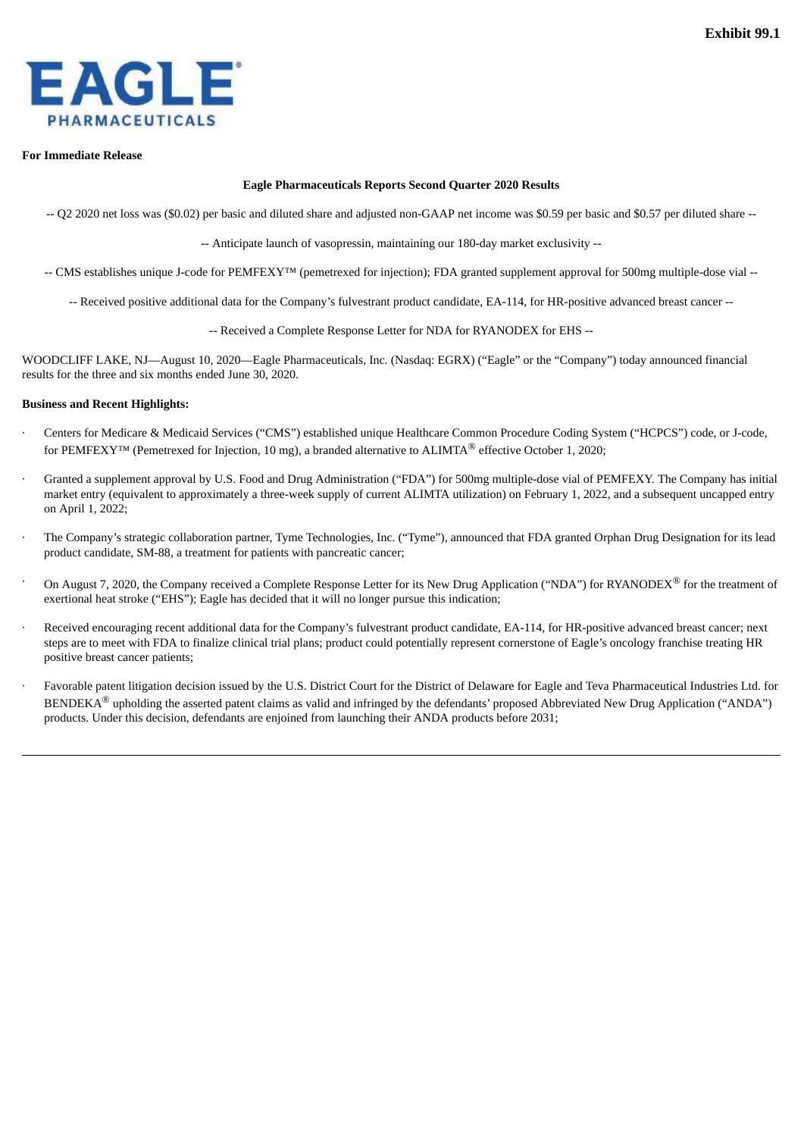<span id="page-3-0"></span>

## **For Immediate Release**

## **Eagle Pharmaceuticals Reports Second Quarter 2020 Results**

-- Q2 2020 net loss was (\$0.02) per basic and diluted share and adjusted non-GAAP net income was \$0.59 per basic and \$0.57 per diluted share --

-- Anticipate launch of vasopressin, maintaining our 180-day market exclusivity --

-- CMS establishes unique J-code for PEMFEXY™ (pemetrexed for injection); FDA granted supplement approval for 500mg multiple-dose vial --

-- Received positive additional data for the Company's fulvestrant product candidate, EA-114, for HR-positive advanced breast cancer --

-- Received a Complete Response Letter for NDA for RYANODEX for EHS --

WOODCLIFF LAKE, NJ—August 10, 2020—Eagle Pharmaceuticals, Inc. (Nasdaq: EGRX) ("Eagle" or the "Company") today announced financial results for the three and six months ended June 30, 2020.

## **Business and Recent Highlights:**

- · Centers for Medicare & Medicaid Services ("CMS") established unique Healthcare Common Procedure Coding System ("HCPCS") code, or J-code, for PEMFEXY™ (Pemetrexed for Injection, 10 mg), a branded alternative to ALIMTA® effective October 1, 2020;
- · Granted a supplement approval by U.S. Food and Drug Administration ("FDA") for 500mg multiple-dose vial of PEMFEXY. The Company has initial market entry (equivalent to approximately a three-week supply of current ALIMTA utilization) on February 1, 2022, and a subsequent uncapped entry on April 1, 2022;
- · The Company's strategic collaboration partner, Tyme Technologies, Inc. ("Tyme"), announced that FDA granted Orphan Drug Designation for its lead product candidate, SM-88, a treatment for patients with pancreatic cancer;
- <sup>•</sup> On August 7, 2020, the Company received a Complete Response Letter for its New Drug Application ("NDA") for RYANODEX<sup>®</sup> for the treatment of exertional heat stroke ("EHS"); Eagle has decided that it will no longer pursue this indication;
- Received encouraging recent additional data for the Company's fulvestrant product candidate, EA-114, for HR-positive advanced breast cancer; next steps are to meet with FDA to finalize clinical trial plans; product could potentially represent cornerstone of Eagle's oncology franchise treating HR positive breast cancer patients;
- Favorable patent litigation decision issued by the U.S. District Court for the District of Delaware for Eagle and Teva Pharmaceutical Industries Ltd. for BENDEKA $^\circledR$  upholding the asserted patent claims as valid and infringed by the defendants' proposed Abbreviated New Drug Application ("ANDA") products. Under this decision, defendants are enjoined from launching their ANDA products before 2031;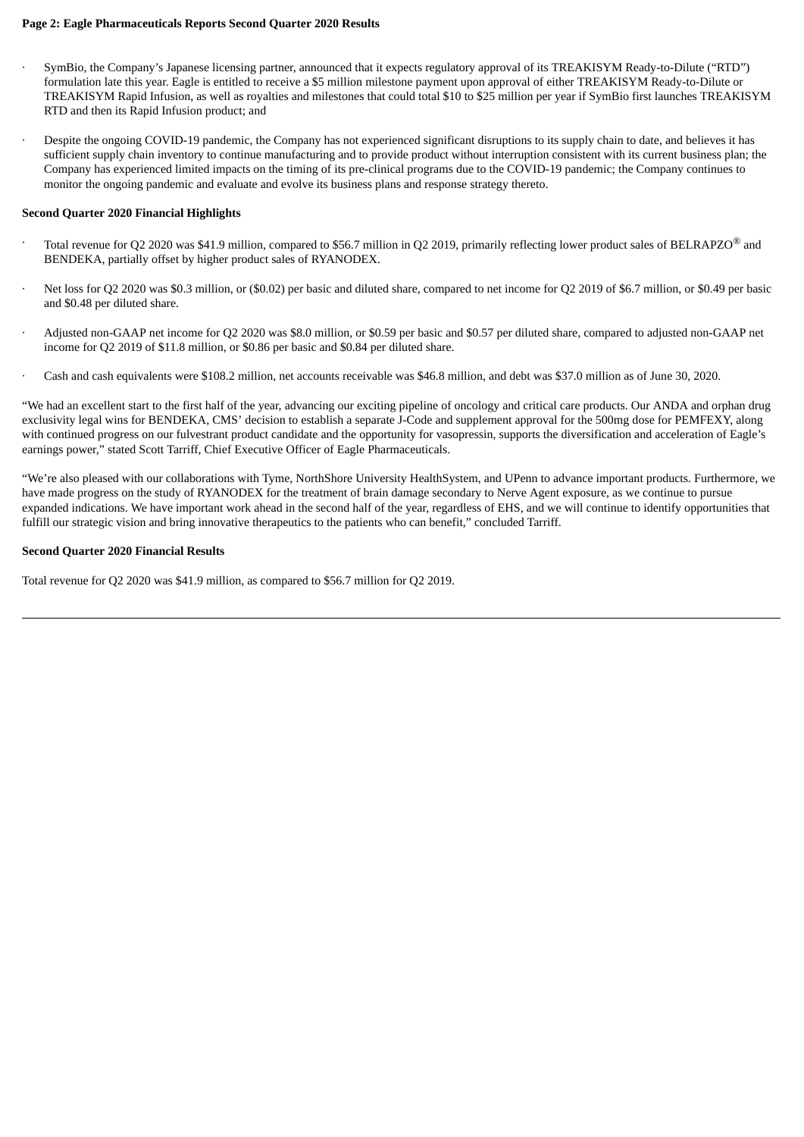#### **Page 2: Eagle Pharmaceuticals Reports Second Quarter 2020 Results**

- · SymBio, the Company's Japanese licensing partner, announced that it expects regulatory approval of its TREAKISYM Ready-to-Dilute ("RTD") formulation late this year. Eagle is entitled to receive a \$5 million milestone payment upon approval of either TREAKISYM Ready-to-Dilute or TREAKISYM Rapid Infusion, as well as royalties and milestones that could total \$10 to \$25 million per year if SymBio first launches TREAKISYM RTD and then its Rapid Infusion product; and
- · Despite the ongoing COVID-19 pandemic, the Company has not experienced significant disruptions to its supply chain to date, and believes it has sufficient supply chain inventory to continue manufacturing and to provide product without interruption consistent with its current business plan; the Company has experienced limited impacts on the timing of its pre-clinical programs due to the COVID-19 pandemic; the Company continues to monitor the ongoing pandemic and evaluate and evolve its business plans and response strategy thereto.

## **Second Quarter 2020 Financial Highlights**

- Total revenue for Q2 2020 was \$41.9 million, compared to \$56.7 million in Q2 2019, primarily reflecting lower product sales of BELRAPZO $^{\circledR}$  and BENDEKA, partially offset by higher product sales of RYANODEX.
- Net loss for Q2 2020 was \$0.3 million, or (\$0.02) per basic and diluted share, compared to net income for Q2 2019 of \$6.7 million, or \$0.49 per basic and \$0.48 per diluted share.
- · Adjusted non-GAAP net income for Q2 2020 was \$8.0 million, or \$0.59 per basic and \$0.57 per diluted share, compared to adjusted non-GAAP net income for Q2 2019 of \$11.8 million, or \$0.86 per basic and \$0.84 per diluted share.
- · Cash and cash equivalents were \$108.2 million, net accounts receivable was \$46.8 million, and debt was \$37.0 million as of June 30, 2020.

"We had an excellent start to the first half of the year, advancing our exciting pipeline of oncology and critical care products. Our ANDA and orphan drug exclusivity legal wins for BENDEKA, CMS' decision to establish a separate J-Code and supplement approval for the 500mg dose for PEMFEXY, along with continued progress on our fulvestrant product candidate and the opportunity for vasopressin, supports the diversification and acceleration of Eagle's earnings power," stated Scott Tarriff, Chief Executive Officer of Eagle Pharmaceuticals.

"We're also pleased with our collaborations with Tyme, NorthShore University HealthSystem, and UPenn to advance important products. Furthermore, we have made progress on the study of RYANODEX for the treatment of brain damage secondary to Nerve Agent exposure, as we continue to pursue expanded indications. We have important work ahead in the second half of the year, regardless of EHS, and we will continue to identify opportunities that fulfill our strategic vision and bring innovative therapeutics to the patients who can benefit," concluded Tarriff.

#### **Second Quarter 2020 Financial Results**

Total revenue for Q2 2020 was \$41.9 million, as compared to \$56.7 million for Q2 2019.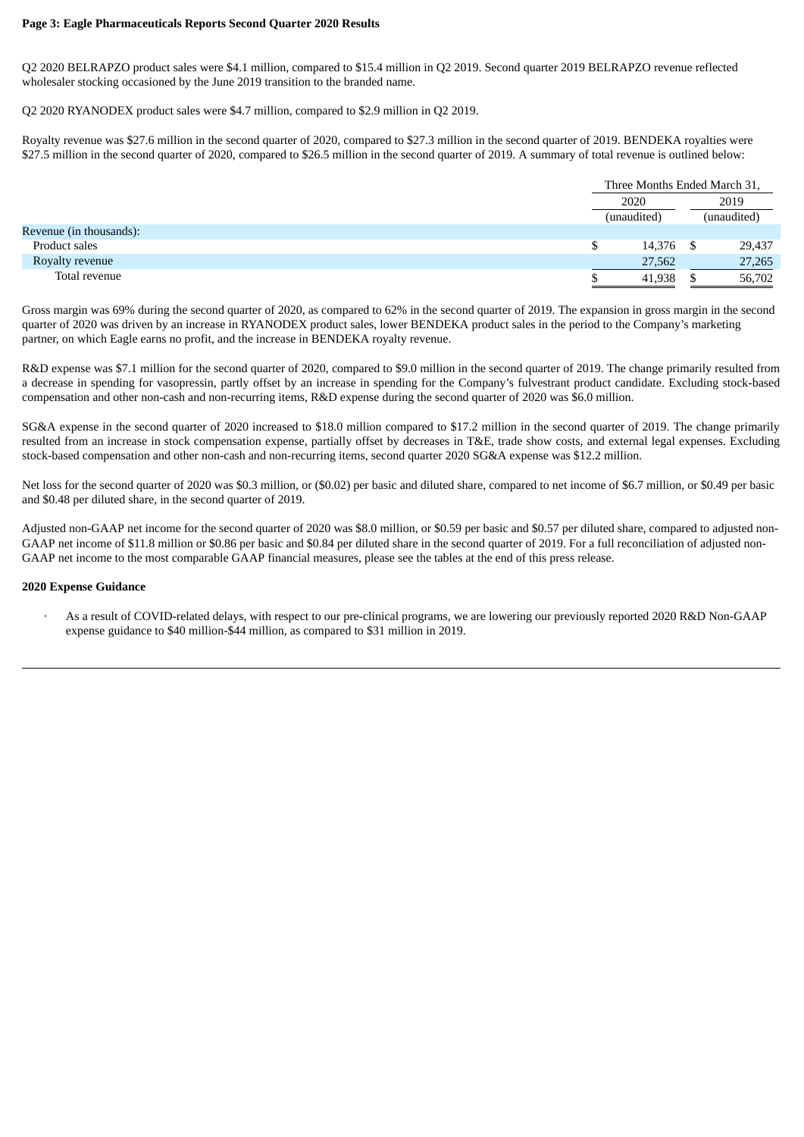#### **Page 3: Eagle Pharmaceuticals Reports Second Quarter 2020 Results**

Q2 2020 BELRAPZO product sales were \$4.1 million, compared to \$15.4 million in Q2 2019. Second quarter 2019 BELRAPZO revenue reflected wholesaler stocking occasioned by the June 2019 transition to the branded name.

#### Q2 2020 RYANODEX product sales were \$4.7 million, compared to \$2.9 million in Q2 2019.

Royalty revenue was \$27.6 million in the second quarter of 2020, compared to \$27.3 million in the second quarter of 2019. BENDEKA royalties were \$27.5 million in the second quarter of 2020, compared to \$26.5 million in the second quarter of 2019. A summary of total revenue is outlined below:

|                         |  | Three Months Ended March 31, |  |             |  |  |
|-------------------------|--|------------------------------|--|-------------|--|--|
|                         |  | 2020<br>(unaudited)          |  | 2019        |  |  |
|                         |  |                              |  | (unaudited) |  |  |
| Revenue (in thousands): |  |                              |  |             |  |  |
| Product sales           |  | 14,376                       |  | 29,437      |  |  |
| Royalty revenue         |  | 27,562                       |  | 27,265      |  |  |
| Total revenue           |  | 41,938                       |  | 56,702      |  |  |

Gross margin was 69% during the second quarter of 2020, as compared to 62% in the second quarter of 2019. The expansion in gross margin in the second quarter of 2020 was driven by an increase in RYANODEX product sales, lower BENDEKA product sales in the period to the Company's marketing partner, on which Eagle earns no profit, and the increase in BENDEKA royalty revenue.

R&D expense was \$7.1 million for the second quarter of 2020, compared to \$9.0 million in the second quarter of 2019. The change primarily resulted from a decrease in spending for vasopressin, partly offset by an increase in spending for the Company's fulvestrant product candidate. Excluding stock-based compensation and other non-cash and non-recurring items, R&D expense during the second quarter of 2020 was \$6.0 million.

SG&A expense in the second quarter of 2020 increased to \$18.0 million compared to \$17.2 million in the second quarter of 2019. The change primarily resulted from an increase in stock compensation expense, partially offset by decreases in T&E, trade show costs, and external legal expenses. Excluding stock-based compensation and other non-cash and non-recurring items, second quarter 2020 SG&A expense was \$12.2 million.

Net loss for the second quarter of 2020 was \$0.3 million, or (\$0.02) per basic and diluted share, compared to net income of \$6.7 million, or \$0.49 per basic and \$0.48 per diluted share, in the second quarter of 2019.

Adjusted non-GAAP net income for the second quarter of 2020 was \$8.0 million, or \$0.59 per basic and \$0.57 per diluted share, compared to adjusted non-GAAP net income of \$11.8 million or \$0.86 per basic and \$0.84 per diluted share in the second quarter of 2019. For a full reconciliation of adjusted non-GAAP net income to the most comparable GAAP financial measures, please see the tables at the end of this press release.

#### **2020 Expense Guidance**

· As a result of COVID-related delays, with respect to our pre-clinical programs, we are lowering our previously reported 2020 R&D Non-GAAP expense guidance to \$40 million-\$44 million, as compared to \$31 million in 2019.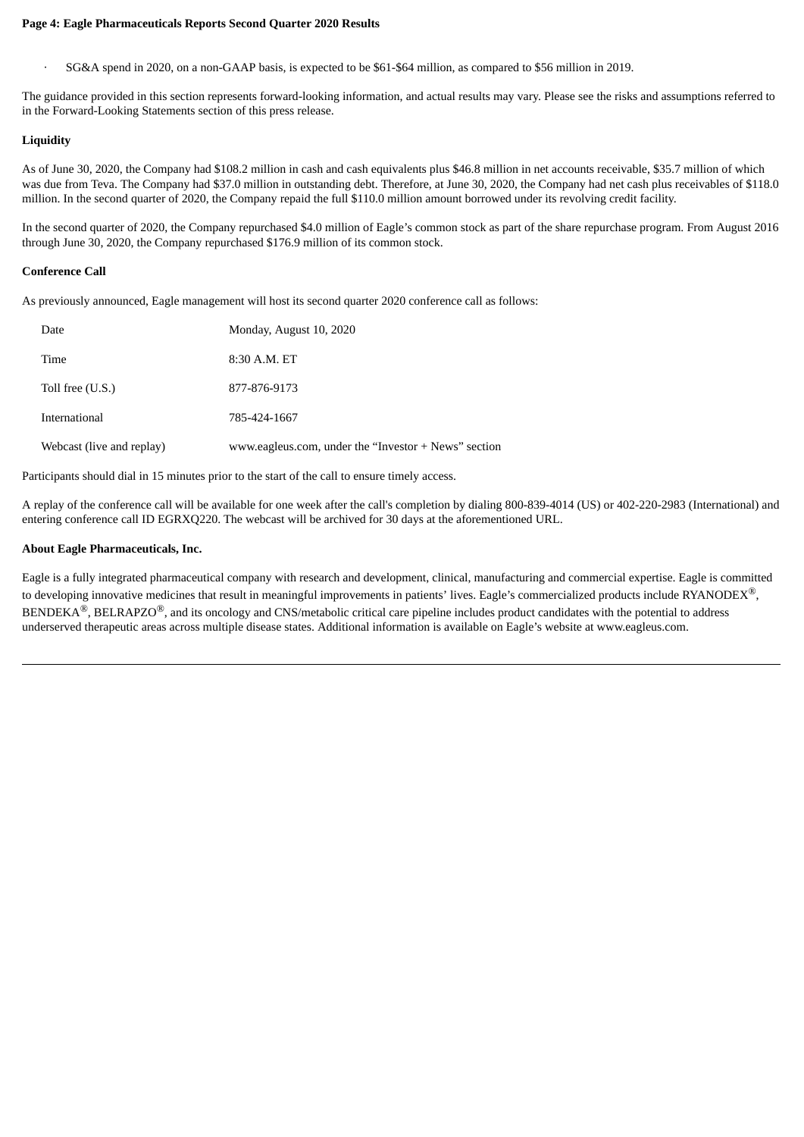#### **Page 4: Eagle Pharmaceuticals Reports Second Quarter 2020 Results**

· SG&A spend in 2020, on a non-GAAP basis, is expected to be \$61-\$64 million, as compared to \$56 million in 2019.

The guidance provided in this section represents forward-looking information, and actual results may vary. Please see the risks and assumptions referred to in the Forward-Looking Statements section of this press release.

## **Liquidity**

As of June 30, 2020, the Company had \$108.2 million in cash and cash equivalents plus \$46.8 million in net accounts receivable, \$35.7 million of which was due from Teva. The Company had \$37.0 million in outstanding debt. Therefore, at June 30, 2020, the Company had net cash plus receivables of \$118.0 million. In the second quarter of 2020, the Company repaid the full \$110.0 million amount borrowed under its revolving credit facility.

In the second quarter of 2020, the Company repurchased \$4.0 million of Eagle's common stock as part of the share repurchase program. From August 2016 through June 30, 2020, the Company repurchased \$176.9 million of its common stock.

## **Conference Call**

As previously announced, Eagle management will host its second quarter 2020 conference call as follows:

| Date                      | Monday, August 10, 2020                              |
|---------------------------|------------------------------------------------------|
| Time                      | 8:30 A.M. ET                                         |
| Toll free (U.S.)          | 877-876-9173                                         |
| <b>International</b>      | 785-424-1667                                         |
| Webcast (live and replay) | www.eagleus.com, under the "Investor + News" section |

Participants should dial in 15 minutes prior to the start of the call to ensure timely access.

A replay of the conference call will be available for one week after the call's completion by dialing 800-839-4014 (US) or 402-220-2983 (International) and entering conference call ID EGRXQ220. The webcast will be archived for 30 days at the aforementioned URL.

#### **About Eagle Pharmaceuticals, Inc.**

Eagle is a fully integrated pharmaceutical company with research and development, clinical, manufacturing and commercial expertise. Eagle is committed to developing innovative medicines that result in meaningful improvements in patients' lives. Eagle's commercialized products include RYANODEX®, BENDEKA<sup>®</sup>, BELRAPZO<sup>®</sup>, and its oncology and CNS/metabolic critical care pipeline includes product candidates with the potential to address underserved therapeutic areas across multiple disease states. Additional information is available on Eagle's website at www.eagleus.com.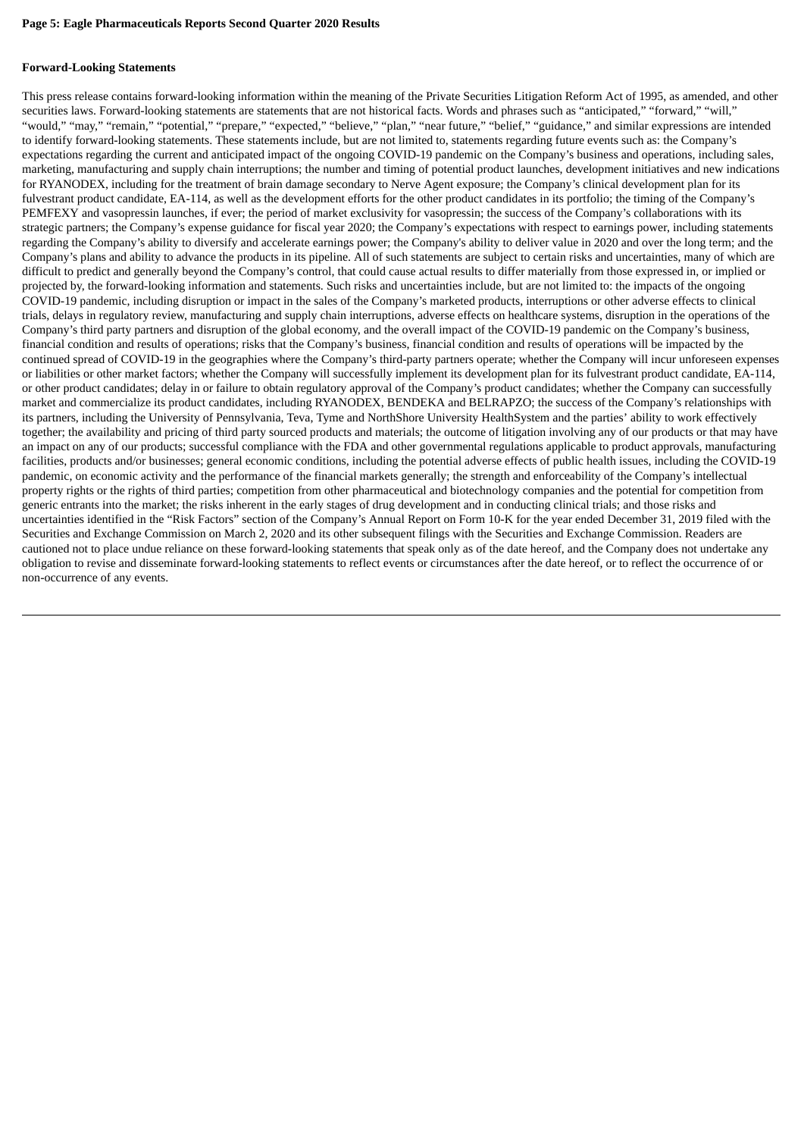#### **Forward-Looking Statements**

This press release contains forward-looking information within the meaning of the Private Securities Litigation Reform Act of 1995, as amended, and other securities laws. Forward-looking statements are statements that are not historical facts. Words and phrases such as "anticipated," "forward," "will," "would," "may," "remain," "potential," "prepare," "expected," "believe," "plan," "near future," "belief," "guidance," and similar expressions are intended to identify forward-looking statements. These statements include, but are not limited to, statements regarding future events such as: the Company's expectations regarding the current and anticipated impact of the ongoing COVID-19 pandemic on the Company's business and operations, including sales, marketing, manufacturing and supply chain interruptions; the number and timing of potential product launches, development initiatives and new indications for RYANODEX, including for the treatment of brain damage secondary to Nerve Agent exposure; the Company's clinical development plan for its fulvestrant product candidate, EA-114, as well as the development efforts for the other product candidates in its portfolio; the timing of the Company's PEMFEXY and vasopressin launches, if ever; the period of market exclusivity for vasopressin; the success of the Company's collaborations with its strategic partners; the Company's expense guidance for fiscal year 2020; the Company's expectations with respect to earnings power, including statements regarding the Company's ability to diversify and accelerate earnings power; the Company's ability to deliver value in 2020 and over the long term; and the Company's plans and ability to advance the products in its pipeline. All of such statements are subject to certain risks and uncertainties, many of which are difficult to predict and generally beyond the Company's control, that could cause actual results to differ materially from those expressed in, or implied or projected by, the forward-looking information and statements. Such risks and uncertainties include, but are not limited to: the impacts of the ongoing COVID-19 pandemic, including disruption or impact in the sales of the Company's marketed products, interruptions or other adverse effects to clinical trials, delays in regulatory review, manufacturing and supply chain interruptions, adverse effects on healthcare systems, disruption in the operations of the Company's third party partners and disruption of the global economy, and the overall impact of the COVID-19 pandemic on the Company's business, financial condition and results of operations; risks that the Company's business, financial condition and results of operations will be impacted by the continued spread of COVID-19 in the geographies where the Company's third-party partners operate; whether the Company will incur unforeseen expenses or liabilities or other market factors; whether the Company will successfully implement its development plan for its fulvestrant product candidate, EA-114, or other product candidates; delay in or failure to obtain regulatory approval of the Company's product candidates; whether the Company can successfully market and commercialize its product candidates, including RYANODEX, BENDEKA and BELRAPZO; the success of the Company's relationships with its partners, including the University of Pennsylvania, Teva, Tyme and NorthShore University HealthSystem and the parties' ability to work effectively together; the availability and pricing of third party sourced products and materials; the outcome of litigation involving any of our products or that may have an impact on any of our products; successful compliance with the FDA and other governmental regulations applicable to product approvals, manufacturing facilities, products and/or businesses; general economic conditions, including the potential adverse effects of public health issues, including the COVID-19 pandemic, on economic activity and the performance of the financial markets generally; the strength and enforceability of the Company's intellectual property rights or the rights of third parties; competition from other pharmaceutical and biotechnology companies and the potential for competition from generic entrants into the market; the risks inherent in the early stages of drug development and in conducting clinical trials; and those risks and uncertainties identified in the "Risk Factors" section of the Company's Annual Report on Form 10-K for the year ended December 31, 2019 filed with the Securities and Exchange Commission on March 2, 2020 and its other subsequent filings with the Securities and Exchange Commission. Readers are cautioned not to place undue reliance on these forward-looking statements that speak only as of the date hereof, and the Company does not undertake any obligation to revise and disseminate forward-looking statements to reflect events or circumstances after the date hereof, or to reflect the occurrence of or non-occurrence of any events.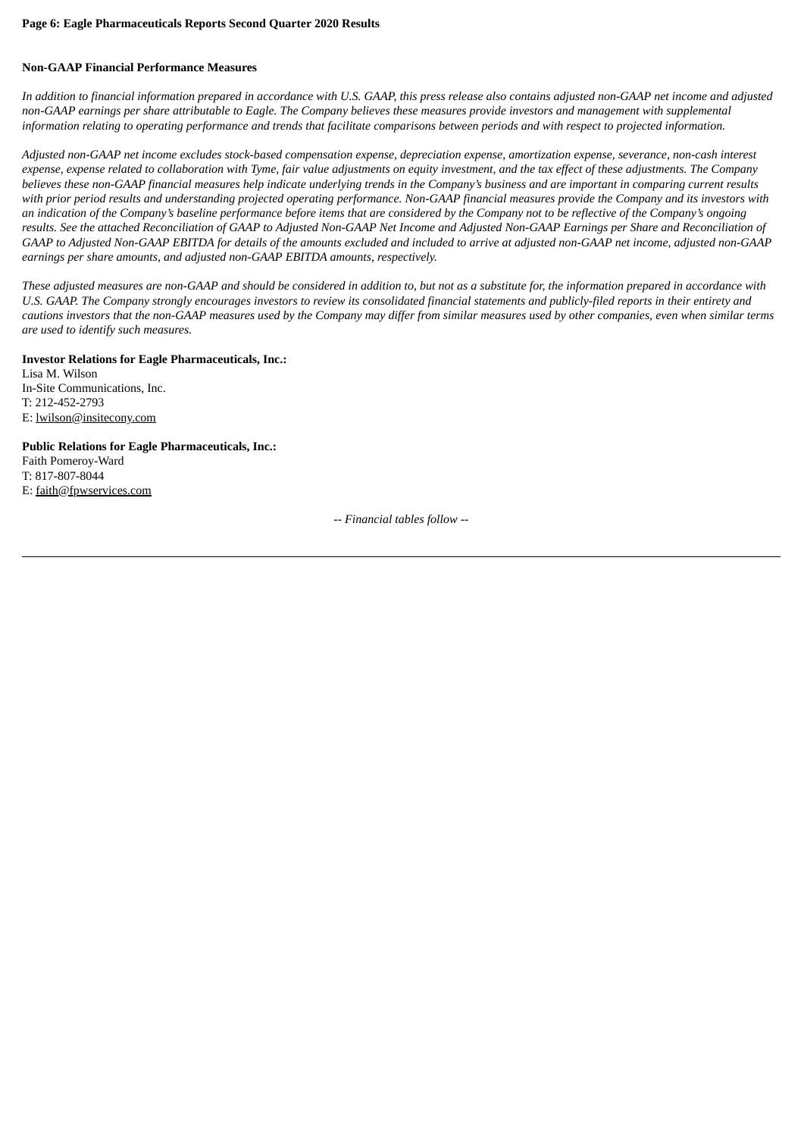## **Non-GAAP Financial Performance Measures**

In addition to financial information prepared in accordance with U.S. GAAP, this press release also contains adjusted non-GAAP net income and adjusted non-GAAP earnings per share attributable to Eagle. The Company believes these measures provide investors and management with supplemental information relating to operating performance and trends that facilitate comparisons between periods and with respect to projected information.

Adjusted non-GAAP net income excludes stock-based compensation expense, depreciation expense, amortization expense, severance, non-cash interest expense, expense related to collaboration with Tyme, fair value adjustments on equity investment, and the tax effect of these adjustments. The Company believes these non-GAAP financial measures help indicate underlying trends in the Company's business and are important in comparing current results with prior period results and understanding projected operating performance. Non-GAAP financial measures provide the Company and its investors with an indication of the Company's baseline performance before items that are considered by the Company not to be reflective of the Company's ongoing results. See the attached Reconciliation of GAAP to Adjusted Non-GAAP Net Income and Adjusted Non-GAAP Earnings per Share and Reconciliation of GAAP to Adjusted Non-GAAP EBITDA for details of the amounts excluded and included to arrive at adjusted non-GAAP net income, adjusted non-GAAP *earnings per share amounts, and adjusted non-GAAP EBITDA amounts, respectively.*

These adjusted measures are non-GAAP and should be considered in addition to, but not as a substitute for, the information prepared in accordance with U.S. GAAP. The Company strongly encourages investors to review its consolidated financial statements and publicly-filed reports in their entirety and cautions investors that the non-GAAP measures used by the Company may differ from similar measures used by other companies, even when similar terms *are used to identify such measures.*

#### **Investor Relations for Eagle Pharmaceuticals, Inc.:**

Lisa M. Wilson In-Site Communications, Inc. T: 212-452-2793 E: lwilson@insitecony.com

**Public Relations for Eagle Pharmaceuticals, Inc.:** Faith Pomeroy-Ward T: 817-807-8044 E: faith@fpwservices.com

*-- Financial tables follow --*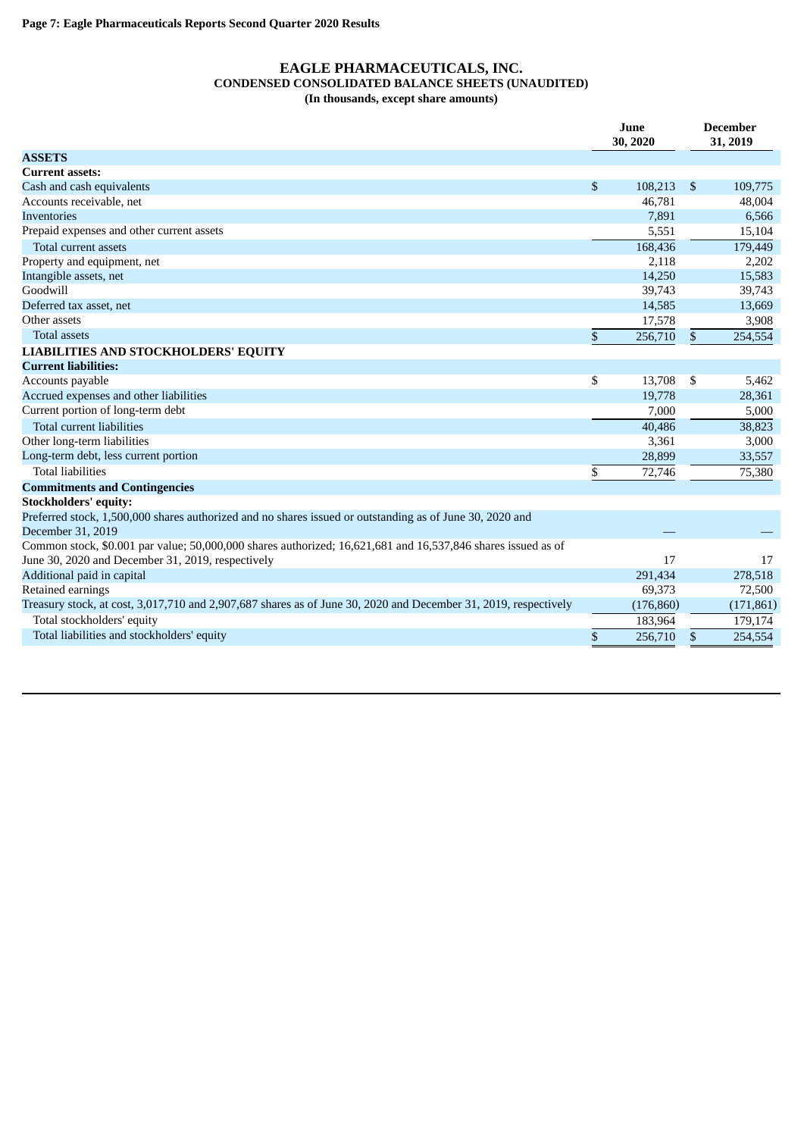## **EAGLE PHARMACEUTICALS, INC. CONDENSED CONSOLIDATED BALANCE SHEETS (UNAUDITED) (In thousands, except share amounts)**

|                                                                                                                 |    | June<br>30, 2020 |                | <b>December</b><br>31, 2019 |
|-----------------------------------------------------------------------------------------------------------------|----|------------------|----------------|-----------------------------|
| <b>ASSETS</b>                                                                                                   |    |                  |                |                             |
| <b>Current assets:</b>                                                                                          |    |                  |                |                             |
| Cash and cash equivalents                                                                                       | \$ | 108,213          | $\mathfrak{S}$ | 109,775                     |
| Accounts receivable, net                                                                                        |    | 46,781           |                | 48,004                      |
| <b>Inventories</b>                                                                                              |    | 7,891            |                | 6,566                       |
| Prepaid expenses and other current assets                                                                       |    | 5,551            |                | 15,104                      |
| Total current assets                                                                                            |    | 168,436          |                | 179,449                     |
| Property and equipment, net                                                                                     |    | 2,118            |                | 2,202                       |
| Intangible assets, net                                                                                          |    | 14,250           |                | 15,583                      |
| Goodwill                                                                                                        |    | 39,743           |                | 39,743                      |
| Deferred tax asset, net                                                                                         |    | 14,585           |                | 13,669                      |
| Other assets                                                                                                    |    | 17,578           |                | 3,908                       |
| <b>Total assets</b>                                                                                             | \$ | 256,710          | $\mathbb{S}$   | 254,554                     |
| <b>LIABILITIES AND STOCKHOLDERS' EQUITY</b>                                                                     |    |                  |                |                             |
| <b>Current liabilities:</b>                                                                                     |    |                  |                |                             |
| Accounts payable                                                                                                | \$ | 13,708           | \$             | 5,462                       |
| Accrued expenses and other liabilities                                                                          |    | 19,778           |                | 28,361                      |
| Current portion of long-term debt                                                                               |    | 7,000            |                | 5,000                       |
| Total current liabilities                                                                                       |    | 40,486           |                | 38,823                      |
| Other long-term liabilities                                                                                     |    | 3,361            |                | 3,000                       |
| Long-term debt, less current portion                                                                            |    | 28,899           |                | 33,557                      |
| <b>Total liabilities</b>                                                                                        | \$ | 72,746           |                | 75,380                      |
| <b>Commitments and Contingencies</b>                                                                            |    |                  |                |                             |
| <b>Stockholders' equity:</b>                                                                                    |    |                  |                |                             |
| Preferred stock, 1,500,000 shares authorized and no shares issued or outstanding as of June 30, 2020 and        |    |                  |                |                             |
| December 31, 2019                                                                                               |    |                  |                |                             |
| Common stock, \$0.001 par value; 50,000,000 shares authorized; 16,621,681 and 16,537,846 shares issued as of    |    |                  |                |                             |
| June 30, 2020 and December 31, 2019, respectively                                                               |    | 17               |                | 17                          |
| Additional paid in capital                                                                                      |    | 291,434          |                | 278,518                     |
| Retained earnings                                                                                               |    | 69,373           |                | 72,500                      |
| Treasury stock, at cost, 3,017,710 and 2,907,687 shares as of June 30, 2020 and December 31, 2019, respectively |    | (176, 860)       |                | (171, 861)                  |
| Total stockholders' equity                                                                                      |    | 183,964          |                | 179,174                     |
| Total liabilities and stockholders' equity                                                                      | \$ | 256,710          | \$             | 254,554                     |
|                                                                                                                 |    |                  |                |                             |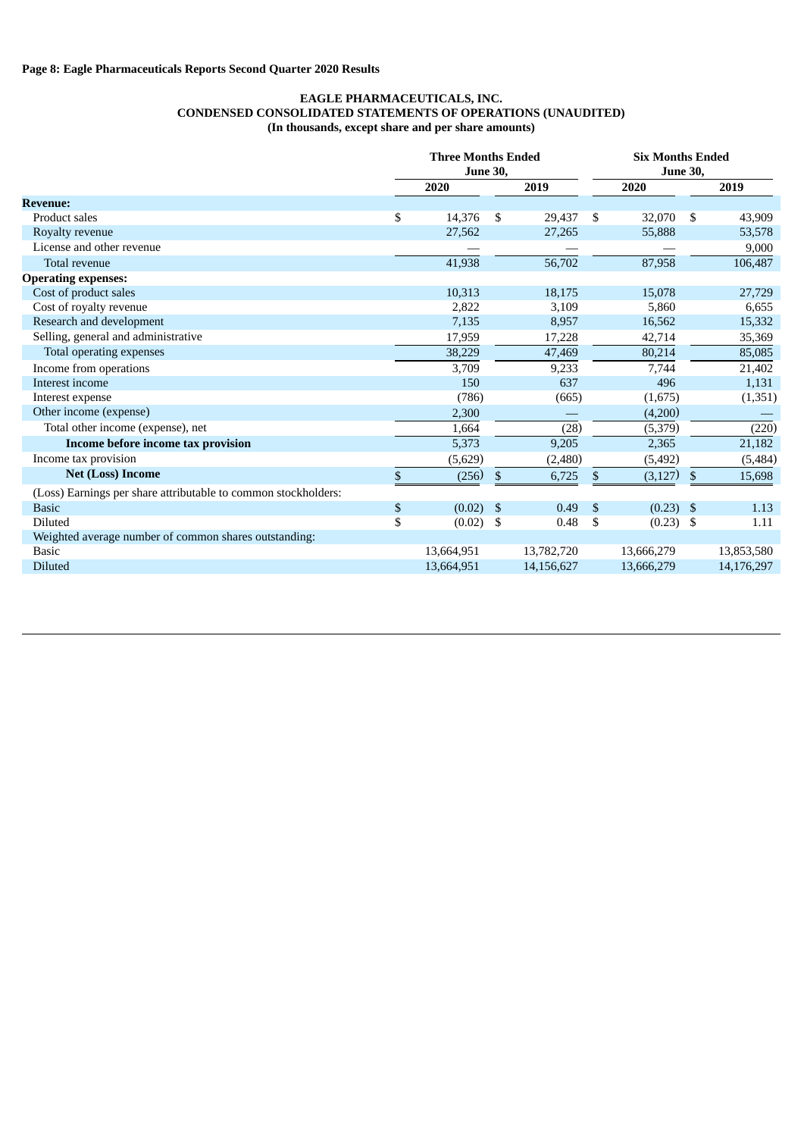## **EAGLE PHARMACEUTICALS, INC. CONDENSED CONSOLIDATED STATEMENTS OF OPERATIONS (UNAUDITED) (In thousands, except share and per share amounts)**

|                                                                | <b>Three Months Ended</b><br><b>June 30,</b> |            |    |            |               | <b>Six Months Ended</b><br><b>June 30,</b> |               |            |  |
|----------------------------------------------------------------|----------------------------------------------|------------|----|------------|---------------|--------------------------------------------|---------------|------------|--|
|                                                                |                                              | 2020       |    | 2019       |               | 2020                                       |               | 2019       |  |
| <b>Revenue:</b>                                                |                                              |            |    |            |               |                                            |               |            |  |
| Product sales                                                  | \$                                           | 14,376     | \$ | 29,437     | \$            | 32,070                                     | \$            | 43,909     |  |
| Rovalty revenue                                                |                                              | 27,562     |    | 27,265     |               | 55,888                                     |               | 53,578     |  |
| License and other revenue                                      |                                              |            |    |            |               |                                            |               | 9,000      |  |
| <b>Total revenue</b>                                           |                                              | 41,938     |    | 56,702     |               | 87,958                                     |               | 106,487    |  |
| <b>Operating expenses:</b>                                     |                                              |            |    |            |               |                                            |               |            |  |
| Cost of product sales                                          |                                              | 10,313     |    | 18,175     |               | 15,078                                     |               | 27,729     |  |
| Cost of royalty revenue                                        |                                              | 2,822      |    | 3,109      |               | 5,860                                      |               | 6,655      |  |
| Research and development                                       |                                              | 7,135      |    | 8,957      |               | 16,562                                     |               | 15,332     |  |
| Selling, general and administrative                            |                                              | 17,959     |    | 17,228     |               | 42,714                                     |               | 35,369     |  |
| Total operating expenses                                       |                                              | 38,229     |    | 47,469     |               | 80,214                                     |               | 85,085     |  |
| Income from operations                                         |                                              | 3,709      |    | 9,233      |               | 7,744                                      |               | 21,402     |  |
| Interest income                                                |                                              | 150        |    | 637        |               | 496                                        |               | 1,131      |  |
| Interest expense                                               |                                              | (786)      |    | (665)      |               | (1,675)                                    |               | (1,351)    |  |
| Other income (expense)                                         |                                              | 2,300      |    |            |               | (4,200)                                    |               |            |  |
| Total other income (expense), net                              |                                              | 1,664      |    | (28)       |               | (5,379)                                    |               | (220)      |  |
| Income before income tax provision                             |                                              | 5,373      |    | 9,205      |               | 2,365                                      |               | 21,182     |  |
| Income tax provision                                           |                                              | (5,629)    |    | (2,480)    |               | (5, 492)                                   |               | (5,484)    |  |
| <b>Net (Loss) Income</b>                                       | \$                                           | (256)      | \$ | 6,725      | S             | (3, 127)                                   | <sup>\$</sup> | 15,698     |  |
| (Loss) Earnings per share attributable to common stockholders: |                                              |            |    |            |               |                                            |               |            |  |
| <b>Basic</b>                                                   | \$                                           | (0.02)     | \$ | 0.49       | $\mathbf{\$}$ | (0.23)                                     | -\$           | 1.13       |  |
| <b>Diluted</b>                                                 | \$                                           | (0.02)     | \$ | 0.48       | \$            | (0.23)                                     | -\$           | 1.11       |  |
| Weighted average number of common shares outstanding:          |                                              |            |    |            |               |                                            |               |            |  |
| <b>Basic</b>                                                   |                                              | 13,664,951 |    | 13,782,720 |               | 13,666,279                                 |               | 13,853,580 |  |
| <b>Diluted</b>                                                 |                                              | 13,664,951 |    | 14,156,627 |               | 13,666,279                                 |               | 14,176,297 |  |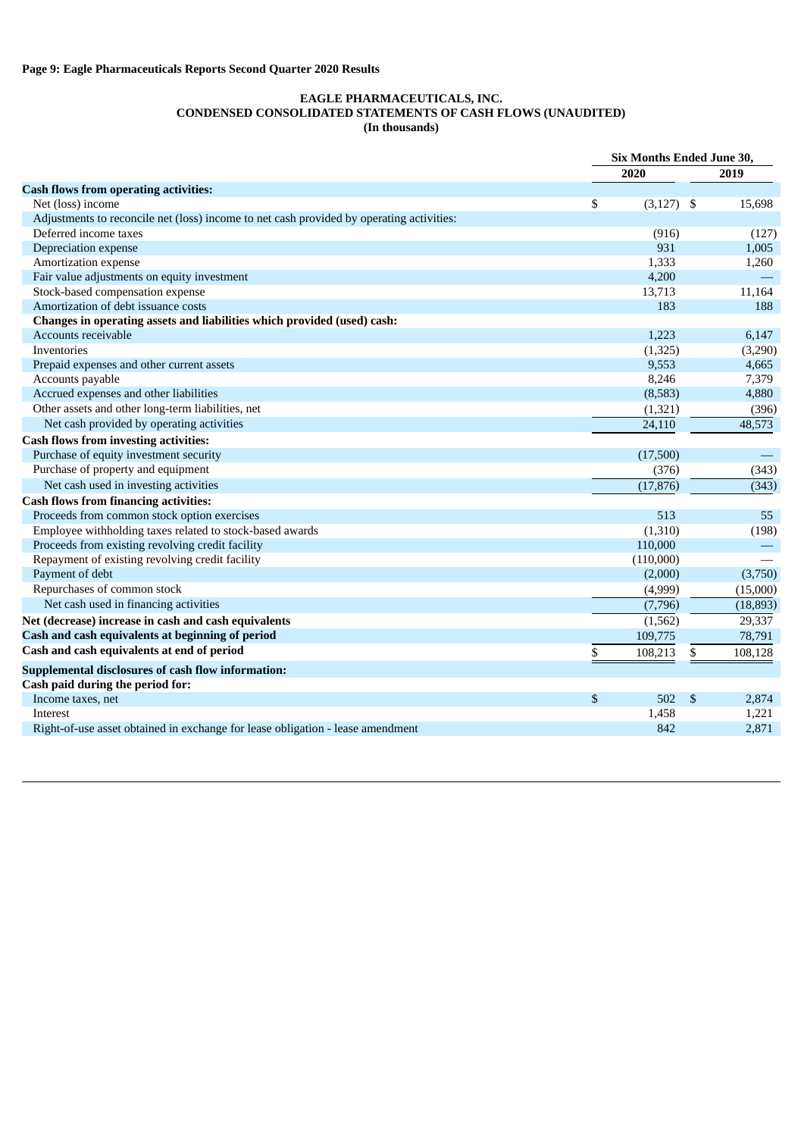## **EAGLE PHARMACEUTICALS, INC. CONDENSED CONSOLIDATED STATEMENTS OF CASH FLOWS (UNAUDITED) (In thousands)**

|                                                                                          |                           | Six Months Ended June 30, |    |                          |  |
|------------------------------------------------------------------------------------------|---------------------------|---------------------------|----|--------------------------|--|
|                                                                                          |                           | 2020                      |    | 2019                     |  |
| <b>Cash flows from operating activities:</b>                                             |                           |                           |    |                          |  |
| Net (loss) income                                                                        | \$                        | (3, 127)                  | \$ | 15,698                   |  |
| Adjustments to reconcile net (loss) income to net cash provided by operating activities: |                           |                           |    |                          |  |
| Deferred income taxes                                                                    |                           | (916)                     |    | (127)                    |  |
| Depreciation expense                                                                     |                           | 931                       |    | 1,005                    |  |
| Amortization expense                                                                     |                           | 1,333                     |    | 1,260                    |  |
| Fair value adjustments on equity investment                                              |                           | 4,200                     |    |                          |  |
| Stock-based compensation expense                                                         |                           | 13,713                    |    | 11,164                   |  |
| Amortization of debt issuance costs                                                      |                           | 183                       |    | 188                      |  |
| Changes in operating assets and liabilities which provided (used) cash:                  |                           |                           |    |                          |  |
| Accounts receivable                                                                      |                           | 1,223                     |    | 6,147                    |  |
| Inventories                                                                              |                           | (1, 325)                  |    | (3,290)                  |  |
| Prepaid expenses and other current assets                                                |                           | 9,553                     |    | 4,665                    |  |
| Accounts payable                                                                         |                           | 8,246                     |    | 7,379                    |  |
| Accrued expenses and other liabilities                                                   |                           | (8,583)                   |    | 4,880                    |  |
| Other assets and other long-term liabilities, net                                        |                           | (1,321)                   |    | (396)                    |  |
| Net cash provided by operating activities                                                |                           | 24,110                    |    | 48,573                   |  |
| <b>Cash flows from investing activities:</b>                                             |                           |                           |    |                          |  |
| Purchase of equity investment security                                                   |                           | (17,500)                  |    |                          |  |
| Purchase of property and equipment                                                       |                           | (376)                     |    | (343)                    |  |
| Net cash used in investing activities                                                    |                           | (17, 876)                 |    | (343)                    |  |
| <b>Cash flows from financing activities:</b>                                             |                           |                           |    |                          |  |
| Proceeds from common stock option exercises                                              |                           | 513                       |    | 55                       |  |
| Employee withholding taxes related to stock-based awards                                 |                           | (1,310)                   |    | (198)                    |  |
| Proceeds from existing revolving credit facility                                         |                           | 110,000                   |    | $\overline{\phantom{m}}$ |  |
| Repayment of existing revolving credit facility                                          |                           | (110,000)                 |    |                          |  |
| Payment of debt                                                                          |                           | (2,000)                   |    | (3,750)                  |  |
| Repurchases of common stock                                                              |                           | (4,999)                   |    | (15,000)                 |  |
| Net cash used in financing activities                                                    |                           | (7,796)                   |    | (18, 893)                |  |
| Net (decrease) increase in cash and cash equivalents                                     |                           | (1, 562)                  |    | 29,337                   |  |
| Cash and cash equivalents at beginning of period                                         |                           | 109,775                   |    | 78,791                   |  |
| Cash and cash equivalents at end of period                                               | \$                        | 108,213                   | \$ | 108,128                  |  |
| Supplemental disclosures of cash flow information:                                       |                           |                           |    |                          |  |
| Cash paid during the period for:                                                         |                           |                           |    |                          |  |
| Income taxes, net                                                                        | $\boldsymbol{\mathsf{S}}$ | 502                       | \$ | 2,874                    |  |
| Interest                                                                                 |                           | 1,458                     |    | 1,221                    |  |
| Right-of-use asset obtained in exchange for lease obligation - lease amendment           |                           | 842                       |    | 2,871                    |  |
|                                                                                          |                           |                           |    |                          |  |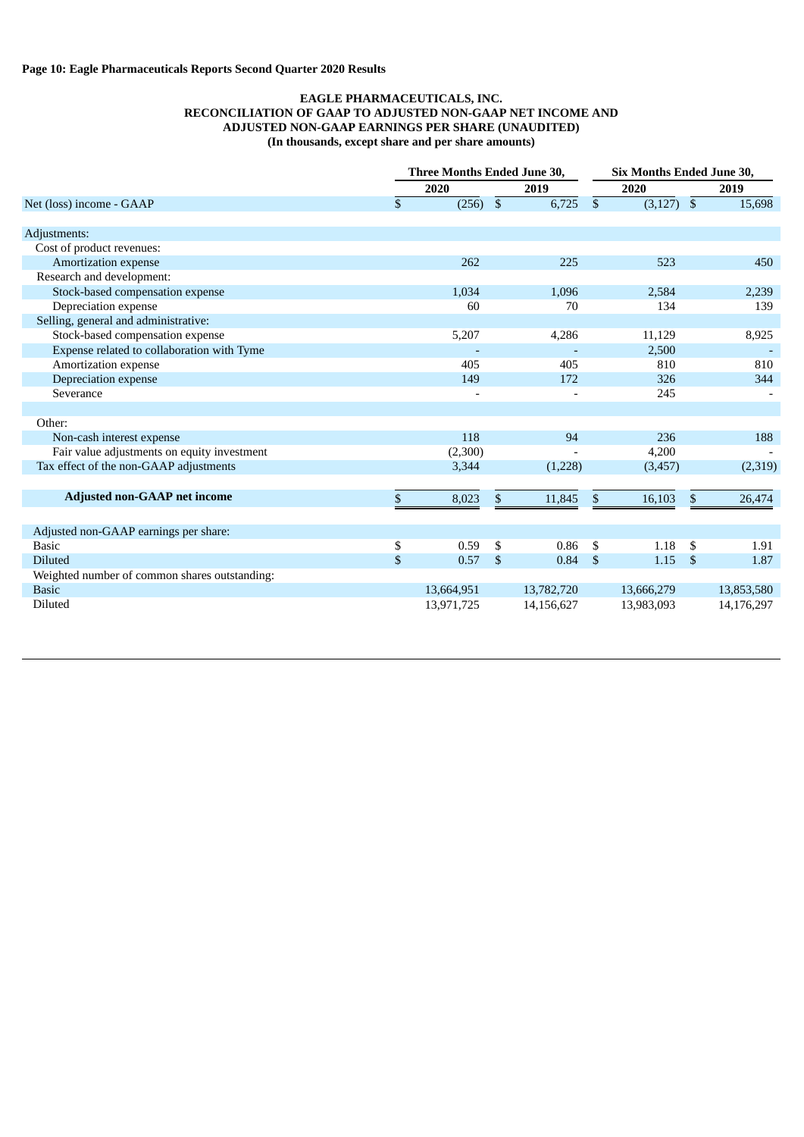## **EAGLE PHARMACEUTICALS, INC. RECONCILIATION OF GAAP TO ADJUSTED NON-GAAP NET INCOME AND ADJUSTED NON-GAAP EARNINGS PER SHARE (UNAUDITED) (In thousands, except share and per share amounts)**

|                                                   |                           | <b>Three Months Ended June 30,</b> |                 | <b>Six Months Ended June 30,</b> |               |                         |    |            |
|---------------------------------------------------|---------------------------|------------------------------------|-----------------|----------------------------------|---------------|-------------------------|----|------------|
|                                                   |                           | 2020                               |                 | 2019                             |               | 2020                    |    | 2019       |
| Net (loss) income - GAAP                          | $\mathbb{S}$              | (256)                              | $\overline{\$}$ | 6,725                            | $\mathbf{\$}$ | $\overline{(3,127)}$ \$ |    | 15,698     |
|                                                   |                           |                                    |                 |                                  |               |                         |    |            |
| Adjustments:                                      |                           |                                    |                 |                                  |               |                         |    |            |
| Cost of product revenues:<br>Amortization expense |                           | 262                                |                 | 225                              |               | 523                     |    | 450        |
| Research and development:                         |                           |                                    |                 |                                  |               |                         |    |            |
| Stock-based compensation expense                  |                           | 1,034                              |                 | 1,096                            |               | 2,584                   |    | 2,239      |
| Depreciation expense                              |                           | 60                                 |                 | 70                               |               | 134                     |    | 139        |
| Selling, general and administrative:              |                           |                                    |                 |                                  |               |                         |    |            |
| Stock-based compensation expense                  |                           |                                    |                 |                                  |               | 11,129                  |    |            |
| Expense related to collaboration with Tyme        |                           | 5,207                              |                 | 4,286                            |               | 2,500                   |    | 8,925      |
|                                                   |                           | 405                                |                 | 405                              |               | 810                     |    | 810        |
| Amortization expense<br>Depreciation expense      |                           | 149                                |                 | 172                              |               | 326                     |    | 344        |
| Severance                                         |                           |                                    |                 |                                  |               | 245                     |    |            |
|                                                   |                           |                                    |                 |                                  |               |                         |    |            |
| Other:                                            |                           |                                    |                 |                                  |               |                         |    |            |
| Non-cash interest expense                         |                           | 118                                |                 | 94                               |               | 236                     |    | 188        |
| Fair value adjustments on equity investment       |                           | (2,300)                            |                 |                                  |               | 4,200                   |    |            |
| Tax effect of the non-GAAP adjustments            |                           | 3,344                              |                 | (1,228)                          |               | (3, 457)                |    | (2,319)    |
|                                                   |                           |                                    |                 |                                  |               |                         |    |            |
| <b>Adjusted non-GAAP net income</b>               | \$                        | 8,023                              | \$              | 11,845                           | \$            | 16,103                  | \$ | 26,474     |
|                                                   |                           |                                    |                 |                                  |               |                         |    |            |
| Adjusted non-GAAP earnings per share:             |                           |                                    |                 |                                  |               |                         |    |            |
| <b>Basic</b>                                      | \$                        | 0.59                               | \$              | 0.86                             | \$            | 1.18                    | \$ | 1.91       |
| <b>Diluted</b>                                    | $\boldsymbol{\mathsf{S}}$ | 0.57                               | \$              | 0.84                             | -\$           | 1.15                    | \$ | 1.87       |
| Weighted number of common shares outstanding:     |                           |                                    |                 |                                  |               |                         |    |            |
| <b>Basic</b>                                      |                           | 13,664,951                         |                 | 13,782,720                       |               | 13,666,279              |    | 13,853,580 |
| Diluted                                           |                           | 13,971,725                         |                 | 14,156,627                       |               | 13,983,093              |    | 14,176,297 |